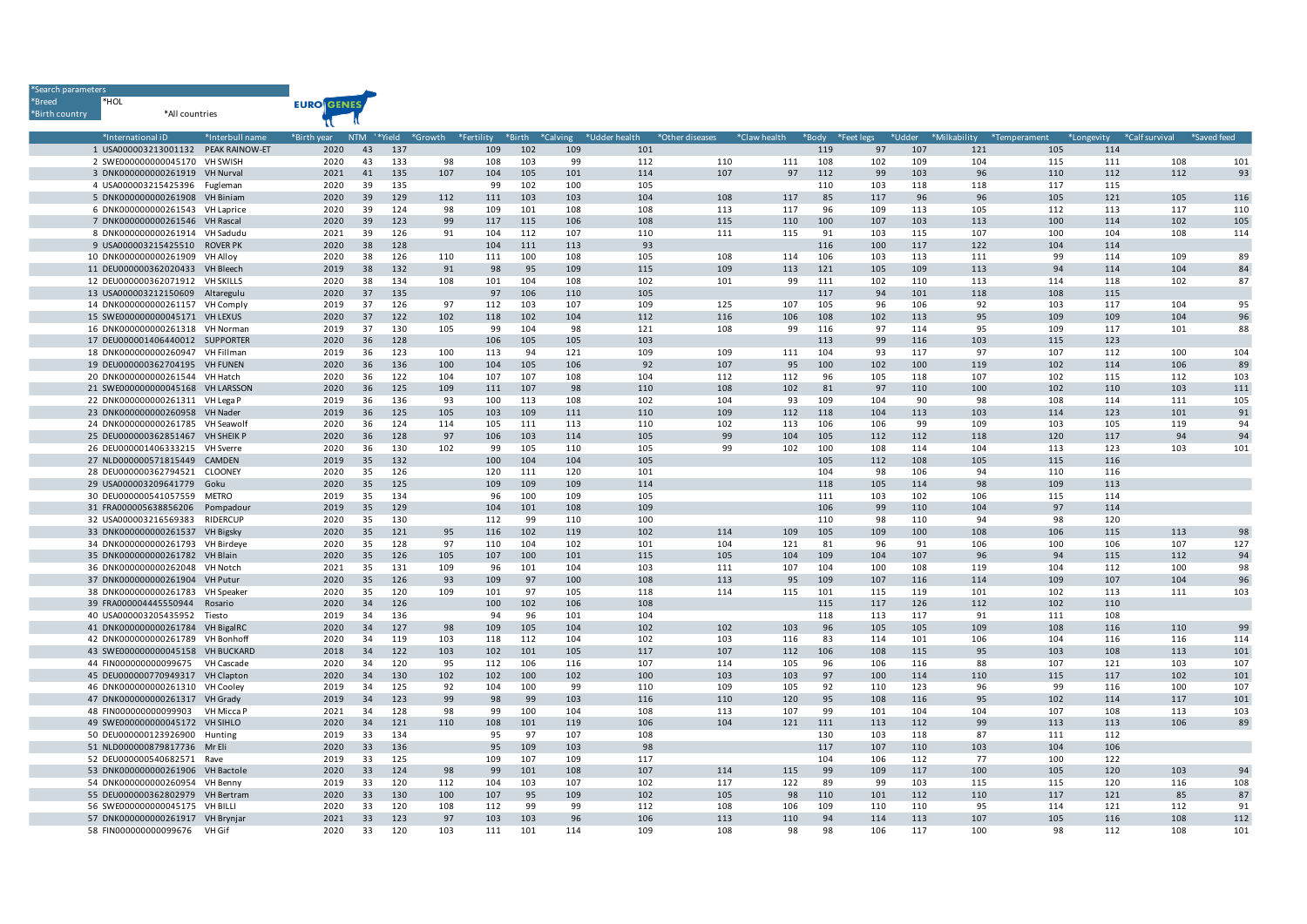| Search parameters |                                                                    |                   |                   |            |            |     |                    |            |                        |                 |     |              |            |            |            |                                  |            |            |                           |             |
|-------------------|--------------------------------------------------------------------|-------------------|-------------------|------------|------------|-----|--------------------|------------|------------------------|-----------------|-----|--------------|------------|------------|------------|----------------------------------|------------|------------|---------------------------|-------------|
| *Breed            | *HOL                                                               |                   | <b>EURO GENES</b> |            |            |     |                    |            |                        |                 |     |              |            |            |            |                                  |            |            |                           |             |
| *Birth country    | *All countries                                                     |                   |                   |            |            |     |                    |            |                        |                 |     |              |            |            |            |                                  |            |            |                           |             |
|                   |                                                                    |                   |                   |            |            |     |                    |            |                        |                 |     |              |            |            |            |                                  |            |            |                           |             |
|                   | *International iD                                                  | *Interbull name   | *Birth year       | <b>NTM</b> | '*Yield    |     | *Growth *Fertility | *Birth     | *Calving *Udder health | *Other diseases |     | *Claw health | *Body      | *Feet legs |            | *Udder *Milkability *Temperament |            |            | *Longevity *Calf survival | *Saved feed |
|                   | 1 USA000003213001132 PEAK RAINOW-ET                                |                   | 2020              | 43         | 137        |     | 109                | 102        | 109                    | 101             |     |              | 119        | 97         | 107        | 121                              | 105        | 114        |                           |             |
|                   | 2 SWE000000000045170 VH SWISH                                      |                   | 2020              | 43         | 133        | 98  | 108                | 103        | 99                     | 112             | 110 | 111          | 108        | 102        | 109        | 104                              | 115        | 111        | 108                       | 101         |
|                   | 3 DNK000000000261919 VH Nurval                                     |                   | 2021              | 41         | 135        | 107 | 104                | 105        | 101                    | 114             | 107 | 97           | 112        | 99         | 103        | 96                               | 110        | 112        | 112                       | 93          |
|                   | 4 USA000003215425396 Fugleman                                      |                   | 2020              | 39         | 135        |     | 99                 | 102        | 100                    | 105             |     |              | 110        | 103        | 118        | 118                              | 117        | 115        |                           |             |
|                   | 5 DNK000000000261908 VH Biniam                                     |                   | 2020              | 39         | 129        | 112 | 111                | 103        | 103                    | 104             | 108 | 117          | 85         | 117        | 96         | 96                               | 105        | 121        | 105                       | 116         |
|                   | 6 DNK000000000261543 VH Laprice                                    |                   | 2020              | 39         | 124        | 98  | 109                | 101        | 108                    | 108             | 113 | 117          | 96         | 109        | 113        | 105                              | 112        | 113        | 117                       | 110         |
|                   | 7 DNK000000000261546 VH Rascal                                     |                   | 2020              | 39         | 123        | 99  | 117                | 115        | 106                    | 108             | 115 | 110          | 100        | 107        | 103        | 113                              | 100        | 114        | 102                       | 105         |
|                   | 8 DNK000000000261914 VH Sadudu                                     |                   | 2021              | 39         | 126        | 91  | 104                | 112        | 107                    | 110             | 111 | 115          | 91         | 103        | 115        | 107                              | 100        | 104        | 108                       | 114         |
|                   | 9 USA000003215425510 ROVER PK                                      |                   | 2020              | 38         | 128        |     | 104                | 111        | 113                    | 93              |     |              | 116        | 100        | 117        | 122                              | 104        | 114        |                           |             |
|                   | 10 DNK000000000261909                                              | VH Alloy          | 2020              | 38         | 126        | 110 | 111                | 100        | 108                    | 105             | 108 | 114          | 106        | 103        | 113        | 111                              | 99         | 114        | 109                       | 89          |
|                   | 11 DEU000000362020433 VH Bleech                                    |                   | 2019              | 38         | 132        | 91  | 98                 | 95         | 109                    | 115             | 109 | 113          | 121        | 105        | 109        | 113                              | 94         | 114        | 104                       | 84          |
|                   | 12 DEU000000362071912 VH SKILLS                                    |                   | 2020              | 38         | 134        | 108 | 101                | 104        | 108                    | 102             | 101 | 99           | 111        | 102        | 110        | 113                              | 114        | 118        | 102                       | 87          |
|                   | 13 USA000003212150609 Altaregulu                                   |                   | 2020<br>2019      | 37<br>37   | 135<br>126 | 97  | 97<br>112          | 106<br>103 | 110<br>107             | 105<br>109      | 125 | 107          | 117<br>105 | 94<br>96   | 101<br>106 | 118<br>92                        | 108<br>103 | 115<br>117 | 104                       | 95          |
|                   | 14 DNK000000000261157 VH Comply<br>15 SWE000000000045171 VH LEXUS  |                   | 2020              | 37         | 122        | 102 | 118                | 102        | 104                    | 112             | 116 | 106          | 108        | 102        | 113        | 95                               | 109        | 109        | 104                       | 96          |
|                   |                                                                    |                   | 2019              | 37         | 130        | 105 | 99                 | 104        | 98                     | 121             | 108 | 99           | 116        | 97         | 114        | 95                               | 109        | 117        | 101                       | 88          |
|                   | 16 DNK000000000261318 VH Norman<br>17 DEU000001406440012 SUPPORTER |                   | 2020              | 36         | 128        |     | 106                | 105        | 105                    | 103             |     |              | 113        | 99         | 116        | 103                              | 115        | 123        |                           |             |
|                   | 18 DNK000000000260947 VH Fillman                                   |                   | 2019              | 36         | 123        | 100 | 113                | 94         | 121                    | 109             | 109 | 111          | 104        | 93         | 117        | 97                               | 107        | 112        | 100                       | 104         |
|                   | 19 DEU000000362704195 VH FUNEN                                     |                   | 2020              | 36         | 136        | 100 | 104                | 105        | 106                    | 92              | 107 | 95           | 100        | 102        | 100        | 119                              | 102        | 114        | 106                       | 89          |
|                   | 20 DNK000000000261544                                              | VH Hatch          | 2020              | 36         | 122        | 104 | 107                | 107        | 108                    | 104             | 112 | 112          | 96         | 105        | 118        | 107                              | 102        | 115        | 112                       | 103         |
|                   | 21 SWE000000000045168 VH LARSSON                                   |                   | 2020              | 36         | 125        | 109 | 111                | 107        | 98                     | 110             | 108 | 102          | 81         | 97         | 110        | 100                              | 102        | 110        | 103                       | 111         |
|                   | 22 DNK000000000261311 VH Lega P                                    |                   | 2019              | 36         | 136        | 93  | 100                | 113        | 108                    | 102             | 104 | 93           | 109        | 104        | 90         | 98                               | 108        | 114        | 111                       | 105         |
|                   | 23 DNK000000000260958 VH Nader                                     |                   | 2019              | 36         | 125        | 105 | 103                | 109        | 111                    | 110             | 109 | 112          | 118        | 104        | 113        | 103                              | 114        | 123        | 101                       | 91          |
|                   | 24 DNK000000000261785 VH Seawolf                                   |                   | 2020              | 36         | 124        | 114 | 105                | 111        | 113                    | 110             | 102 | 113          | 106        | 106        | 99         | 109                              | 103        | 105        | 119                       | 94          |
|                   | 25 DEU000000362851467 VH SHEIK P                                   |                   | 2020              | 36         | 128        | 97  | 106                | 103        | 114                    | 105             | 99  | 104          | 105        | 112        | 112        | 118                              | 120        | 117        | 94                        | 94          |
|                   | 26 DEU000001406333215                                              | VH Sverre         | 2020              | 36         | 130        | 102 | 99                 | 105        | 110                    | 105             | 99  | 102          | 100        | 108        | 114        | 104                              | 113        | 123        | 103                       | 101         |
|                   | 27 NLD000000571815449                                              | CAMDEN            | 2019              | 35         | 132        |     | 100                | 104        | 104                    | 105             |     |              | 105        | 112        | 108        | 105                              | 115        | 116        |                           |             |
|                   | 28 DEU000000362794521                                              | CLOONEY           | 2020              | 35         | 126        |     | 120                | 111        | 120                    | 101             |     |              | 104        | 98         | 106        | 94                               | 110        | 116        |                           |             |
|                   | 29 USA000003209641779                                              | Goku              | 2020              | 35         | 125        |     | 109                | 109        | 109                    | 114             |     |              | 118        | 105        | 114        | 98                               | 109        | 113        |                           |             |
|                   | 30 DEU000000541057559                                              | <b>METRO</b>      | 2019              | 35         | 134        |     | 96                 | 100        | 109                    | 105             |     |              | 111        | 103        | 102        | 106                              | 115        | 114        |                           |             |
|                   | 31 FRA000005638856206                                              | Pompadour         | 2019              | 35         | 129        |     | 104                | 101        | 108                    | 109             |     |              | 106        | 99         | 110        | 104                              | 97         | 114        |                           |             |
|                   | 32 USA000003216569383                                              | RIDERCUP          | 2020              | 35         | 130        |     | 112                | 99         | 110                    | 100             |     |              | 110        | 98         | 110        | 94                               | 98         | 120        |                           |             |
|                   | 33 DNK000000000261537 VH Bigsky                                    |                   | 2020              | 35         | 121        | 95  | 116                | 102        | 119                    | 102             | 114 | 109          | 105        | 109        | 100        | 108                              | 106        | 115        | 113                       | 98          |
|                   | 34 DNK000000000261793 VH Birdeye                                   |                   | 2020              | 35         | 128        | 97  | 110                | 104        | 102                    | 101             | 104 | 121          | 81         | 96         | 91         | 106                              | 100        | 106        | 107                       | 127         |
|                   | 35 DNK000000000261782 VH Blain                                     |                   | 2020              | 35         | 126        | 105 | 107                | 100        | 101                    | 115             | 105 | 104          | 109        | 104        | 107        | 96                               | 94         | 115        | 112                       | 94          |
|                   | 36 DNK000000000262048                                              | VH Notch          | 2021              | 35         | 131        | 109 | 96                 | 101        | 104                    | 103             | 111 | 107          | 104        | 100        | 108        | 119                              | 104        | 112        | 100                       | 98          |
|                   | 37 DNK000000000261904 VH Putur                                     |                   | 2020              | 35         | 126        | 93  | 109                | 97         | 100                    | 108             | 113 | 95           | 109        | 107        | 116        | 114                              | 109        | 107        | 104                       | 96          |
|                   | 38 DNK000000000261783                                              | <b>VH Speaker</b> | 2020              | 35         | 120        | 109 | 101                | 97         | 105                    | 118             | 114 | 115          | 101        | 115        | 119        | 101                              | 102        | 113        | 111                       | 103         |
|                   | 39 FRA000004445550944                                              | Rosario           | 2020              | 34         | 126        |     | 100                | 102        | 106                    | 108             |     |              | 115        | 117        | 126        | 112                              | 102        | 110        |                           |             |
|                   | 40 USA000003205435952                                              | Tiesto            | 2019              | 34         | 136        |     | 94                 | 96         | 101                    | 104             |     |              | 118        | 113        | 117        | 91                               | 111        | 108        |                           |             |
|                   | 41 DNK000000000261784 VH BigalRC                                   |                   | 2020              | 34         | 127        | 98  | 109                | 105        | 104                    | 102             | 102 | 103          | 96         | 105        | 105        | 109                              | 108        | 116        | 110                       | 99          |
|                   | 42 DNK000000000261789 VH Bonhoff                                   |                   | 2020              | 34         | 119        | 103 | 118                | 112        | 104                    | 102             | 103 | 116          | 83         | 114        | 101        | 106                              | 104        | 116        | 116                       | 114         |
|                   | 43 SWE000000000045158 VH BUCKARD                                   |                   | 2018              | 34         | 122        | 103 | 102                | 101        | 105                    | 117             | 107 | 112          | 106        | 108        | 115        | 95                               | 103        | 108        | 113                       | 101         |
|                   | 44 FIN000000000099675                                              | VH Cascade        | 2020              | 34         | 120        | 95  | 112                | 106        | 116                    | 107             | 114 | 105          | 96         | 106        | 116        | 88                               | 107        | 121        | 103                       | 107         |
|                   | 45 DEU000000770949317 VH Clapton                                   |                   | 2020              | 34         | 130        | 102 | 102                | 100        | 102                    | 100             | 103 | 103          | 97         | 100        | 114        | 110                              | 115        | 117        | 102                       | 101         |
|                   | 46 DNK000000000261310 VH Cooley                                    |                   | 2019              | 34         | 125        | 92  | 104                | 100        | 99                     | 110             | 109 | 105          | 92         | 110        | 123        | 96                               | 99         | 116        | 100                       | 107         |
|                   | 47 DNK000000000261317                                              | VH Grady          | 2019              | 34         | 123        | 99  | 98                 | 99         | 103                    | 116             | 110 | 120          | 95         | 108        | 116        | 95                               | 102        | 114        | 117                       | 101         |
|                   | 48 FIN000000000099903                                              | VH Micca P        | 2021              | 34         | 128        | 98  | 99                 | 100        | 104                    | 108             | 113 | 107          | 99         | 101        | 104        | 104                              | 107        | 108        | 113                       | 103         |
|                   | 49 SWE000000000045172 VH SIHLO                                     |                   | 2020              | 34         | 121        | 110 | 108                | 101        | 119                    | 106             | 104 | 121          | 111        | 113        | 112        | 99                               | 113        | 113        | 106                       | 89          |
|                   | 50 DEU000000123926900                                              | Hunting           | 2019              | 33         | 134        |     | 95                 | 97         | 107                    | 108             |     |              | 130        | 103        | 118        | 87                               | 111        | 112        |                           |             |
|                   | 51 NLD000000879817736 Mr Eli                                       |                   | 2020              | 33         | 136        |     | 95                 | 109        | 103                    | 98              |     |              | 117        | 107        | 110        | 103                              | 104        | 106        |                           |             |
|                   | 52 DEU000000540682571                                              | Rave              | 2019              | 33         | 125        |     | 109                | 107        | 109                    | 117             |     |              | 104        | 106        | 112        | 77                               | 100        | 122        |                           |             |
|                   | 53 DNK000000000261906                                              | VH Bactole        | 2020              | 33         | 124        | 98  | 99                 | 101        | 108                    | 107             | 114 | 115          | 99         | 109        | 117        | 100                              | 105        | 120        | 103                       | 94          |
|                   | 54 DNK000000000260954 VH Benny                                     |                   | 2019              | 33         | 120        | 112 | 104                | 103        | 107                    | 102             | 117 | 122          | 89         | 99         | 103        | 115                              | 115        | 120        | 116                       | 108         |
|                   | 55 DEU000000362802979                                              | VH Bertram        | 2020              | 33         | 130        | 100 | 107                | 95         | 109                    | 102             | 105 | 98           | 110        | 101        | 112        | 110                              | 117        | 121        | 85                        | 87          |
|                   | 56 SWE000000000045175 VH BILLI                                     |                   | 2020              | 33         | 120        | 108 | 112                | 99         | 99                     | 112             | 108 | 106          | 109        | 110        | 110        | 95                               | 114        | 121        | 112                       | 91          |
|                   | 57 DNK000000000261917 VH Brynjar                                   |                   | 2021              | 33         | 123        | 97  | 103                | 103        | 96                     | 106             | 113 | 110          | 94         | 114        | 113        | 107                              | 105        | 116        | 108                       | 112         |
|                   | 58 FIN000000000099676                                              | VH Gif            | 2020              | 33         | 120        | 103 | 111                | 101        | 114                    | 109             | 108 | 98           | 98         | 106        | 117        | 100                              | 98         | 112        | 108                       | 101         |

\*Search parameters